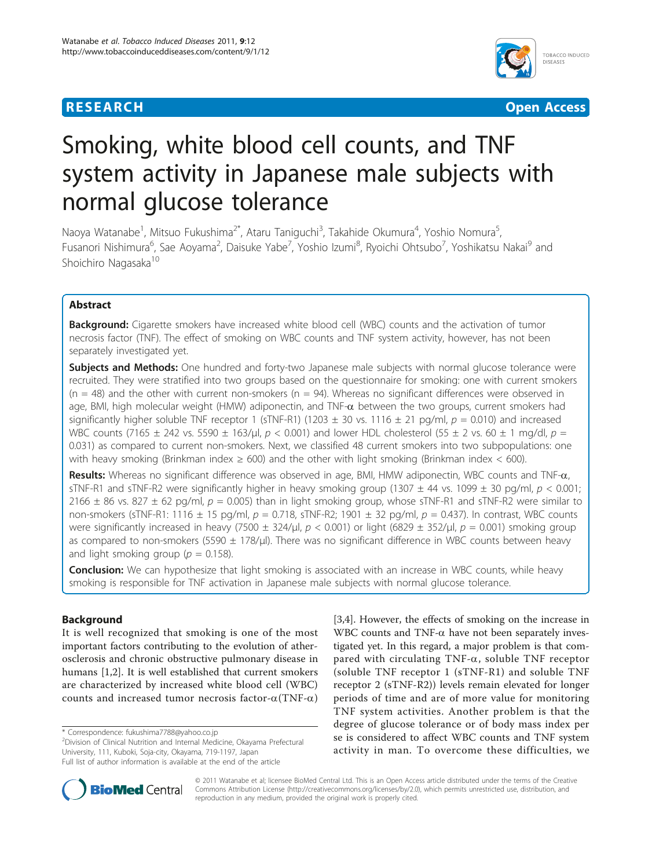## **RESEARCH CONTROL** CONTROL CONTROL CONTROL CONTROL CONTROL CONTROL CONTROL CONTROL CONTROL CONTROL CONTROL CONTROL



# Smoking, white blood cell counts, and TNF system activity in Japanese male subjects with normal glucose tolerance

Naoya Watanabe<sup>1</sup>, Mitsuo Fukushima<sup>2\*</sup>, Ataru Taniguchi<sup>3</sup>, Takahide Okumura<sup>4</sup>, Yoshio Nomura<sup>5</sup> , Fusanori Nishimura<sup>6</sup>, Sae Aoyama<sup>2</sup>, Daisuke Yabe<sup>7</sup>, Yoshio Izumi<sup>8</sup>, Ryoichi Ohtsubo<sup>7</sup>, Yoshikatsu Nakai<sup>9</sup> and Shoichiro Nagasaka<sup>10</sup>

## Abstract

Background: Cigarette smokers have increased white blood cell (WBC) counts and the activation of tumor necrosis factor (TNF). The effect of smoking on WBC counts and TNF system activity, however, has not been separately investigated yet.

Subjects and Methods: One hundred and forty-two Japanese male subjects with normal glucose tolerance were recruited. They were stratified into two groups based on the questionnaire for smoking: one with current smokers  $(n = 48)$  and the other with current non-smokers  $(n = 94)$ . Whereas no significant differences were observed in age, BMI, high molecular weight (HMW) adiponectin, and TNF- $\alpha$  between the two groups, current smokers had significantly higher soluble TNF receptor 1 (sTNF-R1) (1203  $\pm$  30 vs. 1116  $\pm$  21 pg/ml,  $p = 0.010$ ) and increased WBC counts (7165  $\pm$  242 vs. 5590  $\pm$  163/μl, p < 0.001) and lower HDL cholesterol (55  $\pm$  2 vs. 60  $\pm$  1 mg/dl, p = 0.031) as compared to current non-smokers. Next, we classified 48 current smokers into two subpopulations: one with heavy smoking (Brinkman index  $\geq 600$ ) and the other with light smoking (Brinkman index  $\lt 600$ ).

Results: Whereas no significant difference was observed in age, BMI, HMW adiponectin, WBC counts and TNF- $\alpha$ , sTNF-R1 and sTNF-R2 were significantly higher in heavy smoking group (1307  $\pm$  44 vs. 1099  $\pm$  30 pg/ml,  $p < 0.001$ ; 2166  $\pm$  86 vs. 827  $\pm$  62 pg/ml, p = 0.005) than in light smoking group, whose sTNF-R1 and sTNF-R2 were similar to non-smokers (sTNF-R1: 1116  $\pm$  15 pg/ml,  $p = 0.718$ , sTNF-R2; 1901  $\pm$  32 pg/ml,  $p = 0.437$ ). In contrast, WBC counts were significantly increased in heavy (7500  $\pm$  324/μl, p < 0.001) or light (6829  $\pm$  352/μl, p = 0.001) smoking group as compared to non-smokers (5590  $\pm$  178/ $\mu$ ). There was no significant difference in WBC counts between heavy and light smoking group ( $p = 0.158$ ).

**Conclusion:** We can hypothesize that light smoking is associated with an increase in WBC counts, while heavy smoking is responsible for TNF activation in Japanese male subjects with normal glucose tolerance.

## Background

It is well recognized that smoking is one of the most important factors contributing to the evolution of atherosclerosis and chronic obstructive pulmonary disease in humans [[1,2\]](#page-5-0). It is well established that current smokers are characterized by increased white blood cell (WBC) counts and increased tumor necrosis factor- $\alpha$ (TNF- $\alpha$ ) [[3,4\]](#page-5-0). However, the effects of smoking on the increase in WBC counts and TNF- $\alpha$  have not been separately investigated yet. In this regard, a major problem is that compared with circulating TNF- $\alpha$ , soluble TNF receptor (soluble TNF receptor 1 (sTNF-R1) and soluble TNF receptor 2 (sTNF-R2)) levels remain elevated for longer periods of time and are of more value for monitoring TNF system activities. Another problem is that the degree of glucose tolerance or of body mass index per se is considered to affect WBC counts and TNF system activity in man. To overcome these difficulties, we



© 2011 Watanabe et al; licensee BioMed Central Ltd. This is an Open Access article distributed under the terms of the Creative Commons Attribution License [\(http://creativecommons.org/licenses/by/2.0](http://creativecommons.org/licenses/by/2.0)), which permits unrestricted use, distribution, and reproduction in any medium, provided the original work is properly cited.

<sup>\*</sup> Correspondence: [fukushima7788@yahoo.co.jp](mailto:fukushima7788@yahoo.co.jp)

<sup>&</sup>lt;sup>2</sup> Division of Clinical Nutrition and Internal Medicine, Okayama Prefectural University, 111, Kuboki, Soja-city, Okayama, 719-1197, Japan Full list of author information is available at the end of the article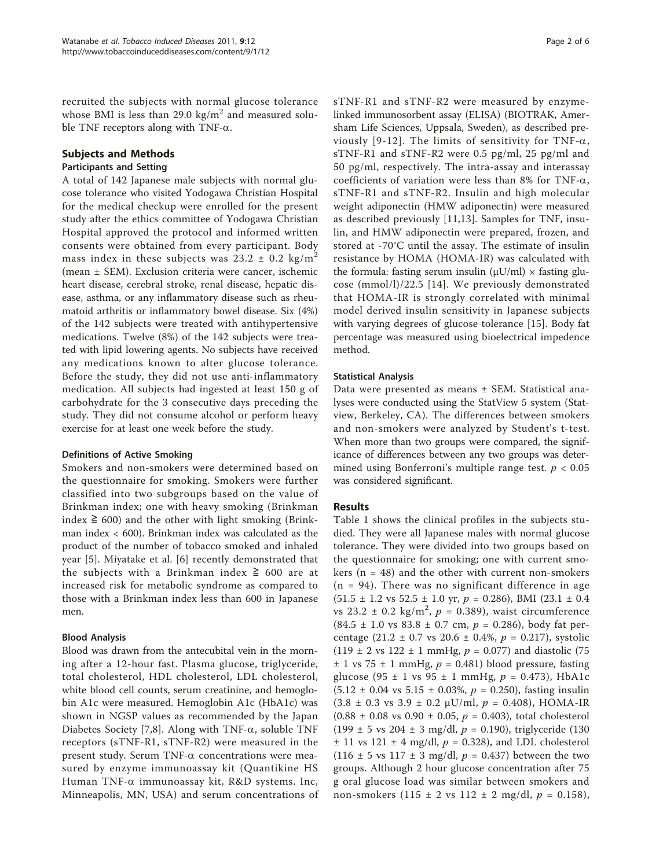recruited the subjects with normal glucose tolerance whose BMI is less than 29.0 kg/ $m<sup>2</sup>$  and measured soluble TNF receptors along with TNF- $\alpha$ .

## Subjects and Methods

## Participants and Setting

A total of 142 Japanese male subjects with normal glucose tolerance who visited Yodogawa Christian Hospital for the medical checkup were enrolled for the present study after the ethics committee of Yodogawa Christian Hospital approved the protocol and informed written consents were obtained from every participant. Body mass index in these subjects was  $23.2 \pm 0.2$  kg/m<sup>2</sup> (mean ± SEM). Exclusion criteria were cancer, ischemic heart disease, cerebral stroke, renal disease, hepatic disease, asthma, or any inflammatory disease such as rheumatoid arthritis or inflammatory bowel disease. Six (4%) of the 142 subjects were treated with antihypertensive medications. Twelve (8%) of the 142 subjects were treated with lipid lowering agents. No subjects have received any medications known to alter glucose tolerance. Before the study, they did not use anti-inflammatory medication. All subjects had ingested at least 150 g of carbohydrate for the 3 consecutive days preceding the study. They did not consume alcohol or perform heavy exercise for at least one week before the study.

## Definitions of Active Smoking

Smokers and non-smokers were determined based on the questionnaire for smoking. Smokers were further classified into two subgroups based on the value of Brinkman index; one with heavy smoking (Brinkman index  $≥$  600) and the other with light smoking (Brinkman index < 600). Brinkman index was calculated as the product of the number of tobacco smoked and inhaled year [[5\]](#page-5-0). Miyatake et al. [\[6](#page-5-0)] recently demonstrated that the subjects with a Brinkman index  $\geq 600$  are at increased risk for metabolic syndrome as compared to those with a Brinkman index less than 600 in Japanese men.

## Blood Analysis

Blood was drawn from the antecubital vein in the morning after a 12-hour fast. Plasma glucose, triglyceride, total cholesterol, HDL cholesterol, LDL cholesterol, white blood cell counts, serum creatinine, and hemoglobin A1c were measured. Hemoglobin A1c (HbA1c) was shown in NGSP values as recommended by the Japan Diabetes Society [[7,8](#page-5-0)]. Along with TNF- $\alpha$ , soluble TNF receptors (sTNF-R1, sTNF-R2) were measured in the present study. Serum TNF- $\alpha$  concentrations were measured by enzyme immunoassay kit (Quantikine HS Human TNF-a immunoassay kit, R&D systems. Inc, Minneapolis, MN, USA) and serum concentrations of sTNF-R1 and sTNF-R2 were measured by enzymelinked immunosorbent assay (ELISA) (BIOTRAK, Amersham Life Sciences, Uppsala, Sweden), as described pre-viously [[9](#page-5-0)-[12](#page-5-0)]. The limits of sensitivity for TNF- $\alpha$ , sTNF-R1 and sTNF-R2 were 0.5 pg/ml, 25 pg/ml and 50 pg/ml, respectively. The intra-assay and interassay coefficients of variation were less than 8% for TNF- $\alpha$ , sTNF-R1 and sTNF-R2. Insulin and high molecular weight adiponectin (HMW adiponectin) were measured as described previously [[11,13\]](#page-5-0). Samples for TNF, insulin, and HMW adiponectin were prepared, frozen, and stored at -70°C until the assay. The estimate of insulin resistance by HOMA (HOMA-IR) was calculated with the formula: fasting serum insulin  $(\mu U/ml) \times$  fasting glucose (mmol/l)/22.5 [[14](#page-5-0)]. We previously demonstrated that HOMA-IR is strongly correlated with minimal model derived insulin sensitivity in Japanese subjects with varying degrees of glucose tolerance [[15\]](#page-5-0). Body fat percentage was measured using bioelectrical impedence method.

## Statistical Analysis

Data were presented as means ± SEM. Statistical analyses were conducted using the StatView 5 system (Statview, Berkeley, CA). The differences between smokers and non-smokers were analyzed by Student's t-test. When more than two groups were compared, the significance of differences between any two groups was determined using Bonferroni's multiple range test.  $p < 0.05$ was considered significant.

## Results

Table [1](#page-2-0) shows the clinical profiles in the subjects studied. They were all Japanese males with normal glucose tolerance. They were divided into two groups based on the questionnaire for smoking; one with current smokers ( $n = 48$ ) and the other with current non-smokers  $(n = 94)$ . There was no significant difference in age  $(51.5 \pm 1.2 \text{ vs } 52.5 \pm 1.0 \text{ yr}, p = 0.286)$ , BMI  $(23.1 \pm 0.4$ vs 23.2  $\pm$  0.2 kg/m<sup>2</sup>, p = 0.389), waist circumference  $(84.5 \pm 1.0 \text{ vs } 83.8 \pm 0.7 \text{ cm}, p = 0.286)$ , body fat percentage  $(21.2 \pm 0.7 \text{ vs } 20.6 \pm 0.4\%, p = 0.217)$ , systolic (119  $\pm$  2 vs 122  $\pm$  1 mmHg,  $p = 0.077$ ) and diastolic (75  $\pm$  1 vs 75  $\pm$  1 mmHg,  $p = 0.481$ ) blood pressure, fasting glucose (95 ± 1 vs 95 ± 1 mmHg,  $p = 0.473$ ), HbA1c  $(5.12 \pm 0.04 \text{ vs } 5.15 \pm 0.03\%, p = 0.250)$ , fasting insulin  $(3.8 \pm 0.3 \text{ vs } 3.9 \pm 0.2 \text{ }\mu\text{U/ml}, p = 0.408)$ , HOMA-IR  $(0.88 \pm 0.08 \text{ vs } 0.90 \pm 0.05, p = 0.403)$ , total cholesterol (199  $\pm$  5 vs 204  $\pm$  3 mg/dl,  $p = 0.190$ ), triglyceride (130  $\pm$  11 vs 121  $\pm$  4 mg/dl,  $p = 0.328$ ), and LDL cholesterol (116 ± 5 vs 117 ± 3 mg/dl,  $p = 0.437$ ) between the two groups. Although 2 hour glucose concentration after 75 g oral glucose load was similar between smokers and non-smokers  $(115 \pm 2 \text{ vs } 112 \pm 2 \text{ mg/dl}, p = 0.158)$ ,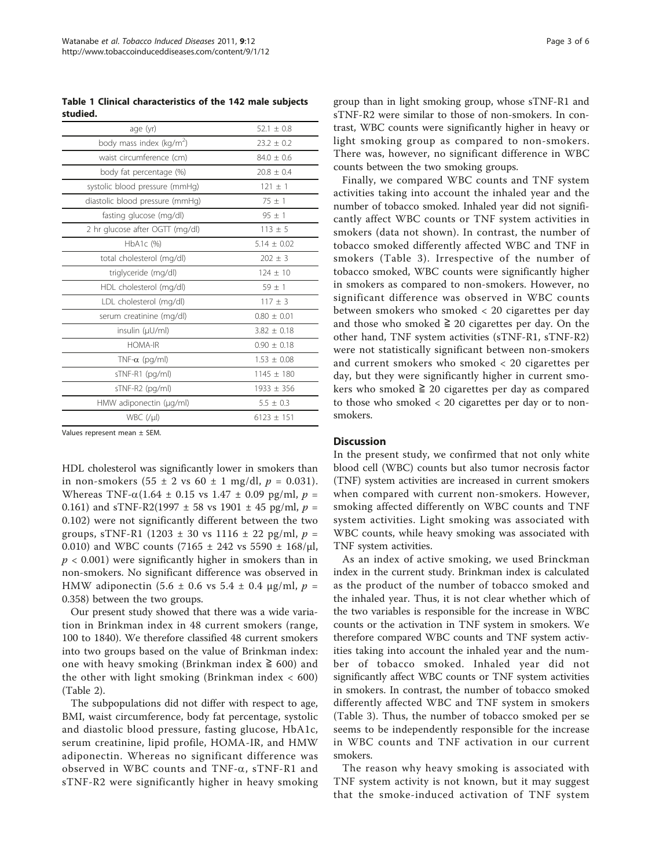<span id="page-2-0"></span>Table 1 Clinical characteristics of the 142 male subjects studied.

| age (yr)                             | $52.1 \pm 0.8$  |
|--------------------------------------|-----------------|
| body mass index (kg/m <sup>2</sup> ) | $23.2 \pm 0.2$  |
| waist circumference (cm)             | $84.0 \pm 0.6$  |
| body fat percentage (%)              | $20.8 + 0.4$    |
| systolic blood pressure (mmHg)       | $121 \pm 1$     |
| diastolic blood pressure (mmHg)      | $75 \pm 1$      |
| fasting glucose (mg/dl)              | $95 \pm 1$      |
| 2 hr glucose after OGTT (mg/dl)      | $113 \pm 5$     |
| HbA1c (%)                            | $5.14 \pm 0.02$ |
| total cholesterol (mg/dl)            | $202 \pm 3$     |
| triglyceride (mg/dl)                 | $124 \pm 10$    |
| HDL cholesterol (mg/dl)              | $59 + 1$        |
| LDL cholesterol (mg/dl)              | $117 \pm 3$     |
| serum creatinine (mg/dl)             | $0.80 \pm 0.01$ |
| insulin (µU/ml)                      | $3.82 \pm 0.18$ |
| <b>HOMA-IR</b>                       | $0.90 + 0.18$   |
| TNF- $\alpha$ (pg/ml)                | $1.53 \pm 0.08$ |
| sTNF-R1 (pg/ml)                      | $1145 \pm 180$  |
| sTNF-R2 (pg/ml)                      | $1933 \pm 356$  |
| HMW adiponectin (µg/ml)              | $5.5 \pm 0.3$   |
| $WBC$ (/ $\mu$ I)                    | $6123 + 151$    |
|                                      |                 |

Values represent mean ± SEM.

HDL cholesterol was significantly lower in smokers than in non-smokers  $(55 \pm 2 \text{ vs } 60 \pm 1 \text{ mg/dl}, p = 0.031)$ . Whereas TNF- $\alpha(1.64 \pm 0.15 \text{ vs } 1.47 \pm 0.09 \text{ pg/ml}, p =$ 0.161) and sTNF-R2(1997  $\pm$  58 vs 1901  $\pm$  45 pg/ml, p = 0.102) were not significantly different between the two groups, sTNF-R1 (1203  $\pm$  30 vs 1116  $\pm$  22 pg/ml,  $p =$ 0.010) and WBC counts (7165  $\pm$  242 vs 5590  $\pm$  168/ $\mu$ l,  $p < 0.001$ ) were significantly higher in smokers than in non-smokers. No significant difference was observed in HMW adiponectin (5.6 ± 0.6 vs 5.4 ± 0.4 μg/ml,  $p =$ 0.358) between the two groups.

Our present study showed that there was a wide variation in Brinkman index in 48 current smokers (range, 100 to 1840). We therefore classified 48 current smokers into two groups based on the value of Brinkman index: one with heavy smoking (Brinkman index  $≥$  600) and the other with light smoking (Brinkman index  $< 600$ ) (Table [2\)](#page-3-0).

The subpopulations did not differ with respect to age, BMI, waist circumference, body fat percentage, systolic and diastolic blood pressure, fasting glucose, HbA1c, serum creatinine, lipid profile, HOMA-IR, and HMW adiponectin. Whereas no significant difference was observed in WBC counts and TNF- $\alpha$ , sTNF-R1 and sTNF-R2 were significantly higher in heavy smoking group than in light smoking group, whose sTNF-R1 and sTNF-R2 were similar to those of non-smokers. In contrast, WBC counts were significantly higher in heavy or light smoking group as compared to non-smokers. There was, however, no significant difference in WBC counts between the two smoking groups.

Finally, we compared WBC counts and TNF system activities taking into account the inhaled year and the number of tobacco smoked. Inhaled year did not significantly affect WBC counts or TNF system activities in smokers (data not shown). In contrast, the number of tobacco smoked differently affected WBC and TNF in smokers (Table [3\)](#page-4-0). Irrespective of the number of tobacco smoked, WBC counts were significantly higher in smokers as compared to non-smokers. However, no significant difference was observed in WBC counts between smokers who smoked < 20 cigarettes per day and those who smoked  $\geq 20$  cigarettes per day. On the other hand, TNF system activities (sTNF-R1, sTNF-R2) were not statistically significant between non-smokers and current smokers who smoked < 20 cigarettes per day, but they were significantly higher in current smokers who smoked  $≥$  20 cigarettes per day as compared to those who smoked < 20 cigarettes per day or to nonsmokers.

#### **Discussion**

In the present study, we confirmed that not only white blood cell (WBC) counts but also tumor necrosis factor (TNF) system activities are increased in current smokers when compared with current non-smokers. However, smoking affected differently on WBC counts and TNF system activities. Light smoking was associated with WBC counts, while heavy smoking was associated with TNF system activities.

As an index of active smoking, we used Brinckman index in the current study. Brinkman index is calculated as the product of the number of tobacco smoked and the inhaled year. Thus, it is not clear whether which of the two variables is responsible for the increase in WBC counts or the activation in TNF system in smokers. We therefore compared WBC counts and TNF system activities taking into account the inhaled year and the number of tobacco smoked. Inhaled year did not significantly affect WBC counts or TNF system activities in smokers. In contrast, the number of tobacco smoked differently affected WBC and TNF system in smokers (Table [3](#page-4-0)). Thus, the number of tobacco smoked per se seems to be independently responsible for the increase in WBC counts and TNF activation in our current smokers.

The reason why heavy smoking is associated with TNF system activity is not known, but it may suggest that the smoke-induced activation of TNF system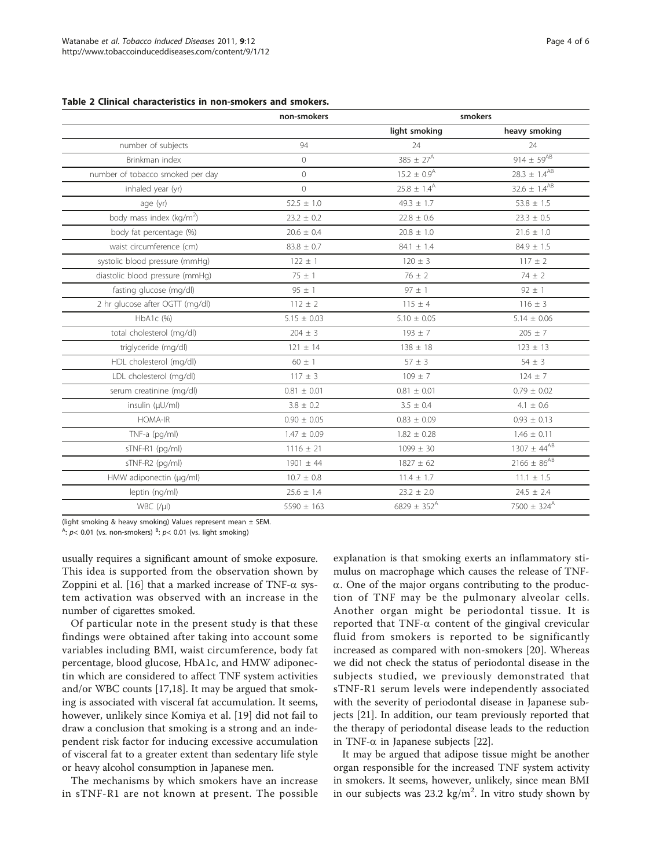#### <span id="page-3-0"></span>Table 2 Clinical characteristics in non-smokers and smokers.

|                                     |                 | light smoking               | heavy smoking             |
|-------------------------------------|-----------------|-----------------------------|---------------------------|
| number of subjects                  | 94              | 24                          | 24                        |
| Brinkman index                      | $\Omega$        | $385 \pm 27^{\text{A}}$     | 914 $\pm 59^{AB}$         |
| number of tobacco smoked per day    | $\circ$         | $15.2 \pm 0.9$ <sup>A</sup> | $28.3 \pm 1.4^{AB}$       |
| inhaled year (yr)                   | $\Omega$        | $25.8 \pm 1.4^{\text{A}}$   | $32.6 \pm 1.4^{AB}$       |
| age (yr)                            | $52.5 \pm 1.0$  | $49.3 \pm 1.7$              | $53.8 \pm 1.5$            |
| body mass index ( $\text{kg/m}^2$ ) | $23.2 \pm 0.2$  | $22.8 \pm 0.6$              | $23.3 \pm 0.5$            |
| body fat percentage (%)             | $20.6 \pm 0.4$  | $20.8 \pm 1.0$              | $21.6 \pm 1.0$            |
| waist circumference (cm)            | $83.8 \pm 0.7$  | $84.1 \pm 1.4$              | $84.9 \pm 1.5$            |
| systolic blood pressure (mmHg)      | $122 \pm 1$     | $120 \pm 3$                 | $117 \pm 2$               |
| diastolic blood pressure (mmHg)     | $75 \pm 1$      | $76 \pm 2$                  | $74 \pm 2$                |
| fasting glucose (mg/dl)             | $95 \pm 1$      | $97 \pm 1$                  | $92 \pm 1$                |
| 2 hr glucose after OGTT (mg/dl)     | $112 \pm 2$     | $115 \pm 4$                 | $116 \pm 3$               |
| HbA1c (%)                           | $5.15 \pm 0.03$ | $5.10 \pm 0.05$             | $5.14 \pm 0.06$           |
| total cholesterol (mg/dl)           | $204 \pm 3$     | $193 \pm 7$                 | $205 \pm 7$               |
| triglyceride (mg/dl)                | $121 \pm 14$    | $138 \pm 18$                | $123 \pm 13$              |
| HDL cholesterol (mg/dl)             | $60 \pm 1$      | $57 \pm 3$                  | $54 \pm 3$                |
| LDL cholesterol (mg/dl)             | $117 \pm 3$     | $109 \pm 7$                 | $124 \pm 7$               |
| serum creatinine (mg/dl)            | $0.81 \pm 0.01$ | $0.81 \pm 0.01$             | $0.79 \pm 0.02$           |
| insulin (µU/ml)                     | $3.8 \pm 0.2$   | $3.5 \pm 0.4$               | $4.1 \pm 0.6$             |
| <b>HOMA-IR</b>                      | $0.90 \pm 0.05$ | $0.83 \pm 0.09$             | $0.93 \pm 0.13$           |
| TNF-a (pg/ml)                       | $1.47 \pm 0.09$ | $1.82 \pm 0.28$             | $1.46 \pm 0.11$           |
| sTNF-R1 (pg/ml)                     | $1116 \pm 21$   | $1099 \pm 30$               | $1307 \pm 44^{AB}$        |
| sTNF-R2 (pg/ml)                     | $1901 \pm 44$   | $1827 \pm 62$               | $2166 \pm 86^{AB}$        |
| HMW adiponectin (µg/ml)             | $10.7 \pm 0.8$  | $11.4 \pm 1.7$              | $11.1 \pm 1.5$            |
| leptin (ng/ml)                      | $25.6 \pm 1.4$  | $23.2 \pm 2.0$              | $24.5 \pm 2.4$            |
| $WBC$ (/ $\mu$ l)                   | $5590 \pm 163$  | $6829 \pm 352^{\text{A}}$   | $7500 \pm 324^{\text{A}}$ |

(light smoking & heavy smoking) Values represent mean ± SEM.

 $A$ :  $p$ < 0.01 (vs. non-smokers)  $B$ :  $p$ < 0.01 (vs. light smoking)

usually requires a significant amount of smoke exposure. This idea is supported from the observation shown by Zoppini et al. [\[16](#page-5-0)] that a marked increase of TNF- $\alpha$  system activation was observed with an increase in the number of cigarettes smoked.

Of particular note in the present study is that these findings were obtained after taking into account some variables including BMI, waist circumference, body fat percentage, blood glucose, HbA1c, and HMW adiponectin which are considered to affect TNF system activities and/or WBC counts [[17,18\]](#page-5-0). It may be argued that smoking is associated with visceral fat accumulation. It seems, however, unlikely since Komiya et al. [\[19](#page-5-0)] did not fail to draw a conclusion that smoking is a strong and an independent risk factor for inducing excessive accumulation of visceral fat to a greater extent than sedentary life style or heavy alcohol consumption in Japanese men.

The mechanisms by which smokers have an increase in sTNF-R1 are not known at present. The possible

explanation is that smoking exerts an inflammatory stimulus on macrophage which causes the release of TNF- $\alpha$ . One of the major organs contributing to the production of TNF may be the pulmonary alveolar cells. Another organ might be periodontal tissue. It is reported that TNF- $\alpha$  content of the gingival crevicular fluid from smokers is reported to be significantly increased as compared with non-smokers [[20\]](#page-5-0). Whereas we did not check the status of periodontal disease in the subjects studied, we previously demonstrated that sTNF-R1 serum levels were independently associated with the severity of periodontal disease in Japanese subjects [\[21](#page-5-0)]. In addition, our team previously reported that the therapy of periodontal disease leads to the reduction in TNF- $\alpha$  in Japanese subjects [[22\]](#page-5-0).

It may be argued that adipose tissue might be another organ responsible for the increased TNF system activity in smokers. It seems, however, unlikely, since mean BMI in our subjects was  $23.2 \text{ kg/m}^2$ . In vitro study shown by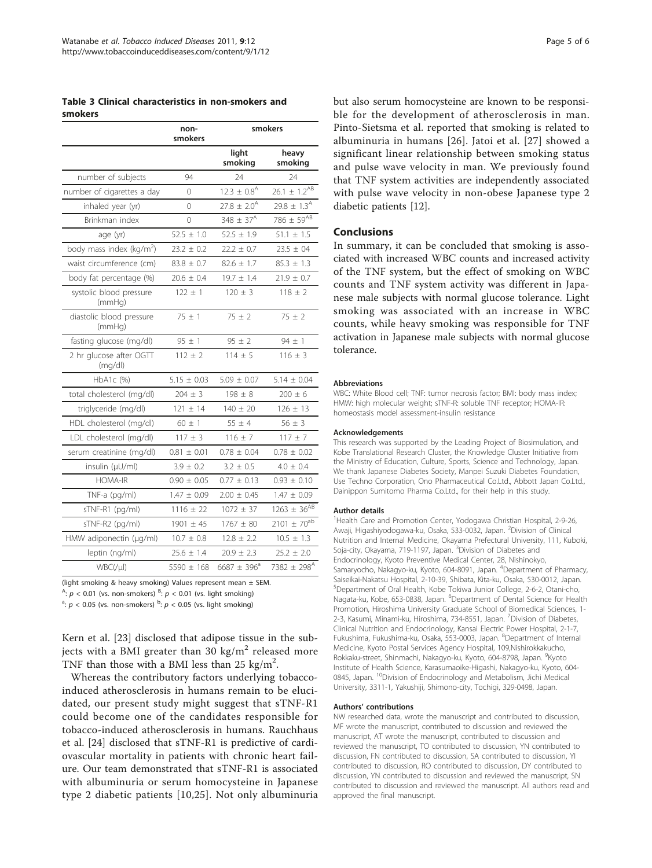<span id="page-4-0"></span>Table 3 Clinical characteristics in non-smokers and smokers

|                                     | non-<br>smokers | smokers                     |                           |
|-------------------------------------|-----------------|-----------------------------|---------------------------|
|                                     |                 | light<br>smoking            | heavy<br>smoking          |
| number of subjects                  | 94              | 74                          | 24                        |
| number of cigarettes a day          | 0               | $12.3 \pm 0.8$ <sup>A</sup> | $26.1 \pm 1.2^{AB}$       |
| inhaled year (yr)                   | 0               | $27.8 \pm 2.0^{\text{A}}$   | $29.8 \pm 1.3^{\text{A}}$ |
| Brinkman index                      | $\Omega$        | $348 \pm 37^{A}$            | 786 $\pm 59^{AB}$         |
| age (yr)                            | $52.5 \pm 1.0$  | $52.5 \pm 1.9$              | $51.1 \pm 1.5$            |
| body mass index ( $\text{kg/m}^2$ ) | $23.2 \pm 0.2$  | $22.2 \pm 0.7$              | $23.5 \pm 04$             |
| waist circumference (cm)            | $83.8 \pm 0.7$  | $82.6 \pm 1.7$              | $85.3 \pm 1.3$            |
| body fat percentage (%)             | $20.6 \pm 0.4$  | $19.7 + 1.4$                | $21.9 + 0.7$              |
| systolic blood pressure<br>(mmHq)   | $122 \pm 1$     | $120 + 3$                   | $118 + 2$                 |
| diastolic blood pressure<br>(mmHq)  | $75 \pm 1$      | $75 \pm 2$                  | $75 \pm 2$                |
| fasting glucose (mg/dl)             | $95 \pm 1$      | $95 \pm 2$                  | $94 \pm 1$                |
| 2 hr glucose after OGTT<br>(mq/dl)  | $112 + 2$       | $114 + 5$                   | $116 + 3$                 |
| $HbA1c$ (%)                         | $5.15 \pm 0.03$ | $5.09 \pm 0.07$             | $5.14 \pm 0.04$           |
| total cholesterol (mg/dl)           | $204 + 3$       | $198 + 8$                   | $200 + 6$                 |
| triglyceride (mg/dl)                | $121 + 14$      | $140 + 20$                  | $126 + 13$                |
| HDL cholesterol (mg/dl)             | $60 \pm 1$      | $55 \pm 4$                  | $56 \pm 3$                |
| LDL cholesterol (mg/dl)             | $117 \pm 3$     | $116 \pm 7$                 | $117 + 7$                 |
| serum creatinine (mg/dl)            | $0.81 \pm 0.01$ | $0.78 \pm 0.04$             | $0.78 \pm 0.02$           |
| insulin (µU/ml)                     | $3.9 + 0.2$     | $3.2 + 0.5$                 | $4.0 + 0.4$               |
| <b>HOMA-IR</b>                      | $0.90 + 0.05$   | $0.77 + 0.13$               | $0.93 \pm 0.10$           |
| TNF-a (pg/ml)                       | $1.47 \pm 0.09$ | $2.00 \pm 0.45$             | $1.47 \pm 0.09$           |
| sTNF-R1 (pg/ml)                     | $1116 \pm 22$   | $1072 \pm 37$               | $1263 \pm 36^{AB}$        |
| sTNF-R2 (pg/ml)                     | $1901 \pm 45$   | $1767 \pm 80$               | $2101 \pm 70^{ab}$        |
| HMW adiponectin (µg/ml)             | $10.7 \pm 0.8$  | $12.8 \pm 2.2$              | $10.5 \pm 1.3$            |
| leptin (ng/ml)                      | $25.6 \pm 1.4$  | $20.9 \pm 2.3$              | $25.2 \pm 2.0$            |
| WBC(I U)                            | 5590 $\pm$ 168  | $6687 + 396^{\circ}$        | 7382 ± 298 <sup>A</sup>   |

(light smoking & heavy smoking) Values represent mean  $\pm$  SEM.

 $A$ :  $p < 0.01$  (vs. non-smokers)  $B$ :  $p < 0.01$  (vs. light smoking)

<sup>a</sup>:  $p < 0.05$  (vs. non-smokers) <sup>b</sup>:  $p < 0.05$  (vs. light smoking)

Kern et al. [\[23\]](#page-5-0) disclosed that adipose tissue in the subjects with a BMI greater than 30 kg/ $m<sup>2</sup>$  released more TNF than those with a BMI less than  $25 \text{ kg/m}^2$ .

Whereas the contributory factors underlying tobaccoinduced atherosclerosis in humans remain to be elucidated, our present study might suggest that sTNF-R1 could become one of the candidates responsible for tobacco-induced atherosclerosis in humans. Rauchhaus et al. [[24](#page-5-0)] disclosed that sTNF-R1 is predictive of cardiovascular mortality in patients with chronic heart failure. Our team demonstrated that sTNF-R1 is associated with albuminuria or serum homocysteine in Japanese type 2 diabetic patients [[10](#page-5-0),[25\]](#page-5-0). Not only albuminuria

but also serum homocysteine are known to be responsible for the development of atherosclerosis in man. Pinto-Sietsma et al. reported that smoking is related to albuminuria in humans [[26](#page-5-0)]. Jatoi et al. [[27](#page-5-0)] showed a significant linear relationship between smoking status and pulse wave velocity in man. We previously found that TNF system activities are independently associated with pulse wave velocity in non-obese Japanese type 2 diabetic patients [[12\]](#page-5-0).

## Conclusions

In summary, it can be concluded that smoking is associated with increased WBC counts and increased activity of the TNF system, but the effect of smoking on WBC counts and TNF system activity was different in Japanese male subjects with normal glucose tolerance. Light smoking was associated with an increase in WBC counts, while heavy smoking was responsible for TNF activation in Japanese male subjects with normal glucose tolerance.

#### Abbreviations

WBC: White Blood cell; TNF: tumor necrosis factor; BMI: body mass index; HMW: high molecular weight; sTNF-R: soluble TNF receptor; HOMA-IR: homeostasis model assessment-insulin resistance

#### Acknowledgements

This research was supported by the Leading Project of Biosimulation, and Kobe Translational Research Cluster, the Knowledge Cluster Initiative from the Ministry of Education, Culture, Sports, Science and Technology, Japan. We thank Japanese Diabetes Society, Manpei Suzuki Diabetes Foundation, Use Techno Corporation, Ono Pharmaceutical Co.Ltd., Abbott Japan Co.Ltd., Dainippon Sumitomo Pharma Co.Ltd., for their help in this study.

#### Author details

<sup>1</sup>Health Care and Promotion Center, Yodogawa Christian Hospital, 2-9-26 Awaji, Higashiyodogawa-ku, Osaka, 533-0032, Japan. <sup>2</sup>Division of Clinical Nutrition and Internal Medicine, Okayama Prefectural University, 111, Kuboki, Soja-city, Okayama, 719-1197, Japan. <sup>3</sup>Division of Diabetes and Endocrinology, Kyoto Preventive Medical Center, 28, Nishinokyo, Samaryocho, Nakagyo-ku, Kyoto, 604-8091, Japan. <sup>4</sup>Department of Pharmacy, Saiseikai-Nakatsu Hospital, 2-10-39, Shibata, Kita-ku, Osaka, 530-0012, Japan. 5 Department of Oral Health, Kobe Tokiwa Junior College, 2-6-2, Otani-cho, Nagata-ku, Kobe, 653-0838, Japan. <sup>6</sup>Department of Dental Science for Health Promotion, Hiroshima University Graduate School of Biomedical Sciences, 1- 2-3, Kasumi, Minami-ku, Hiroshima, 734-8551, Japan. <sup>7</sup>Division of Diabetes, Clinical Nutrition and Endocrinology, Kansai Electric Power Hospital, 2-1-7, Fukushima, Fukushima-ku, Osaka, 553-0003, Japan. <sup>8</sup>Department of Internal Medicine, Kyoto Postal Services Agency Hospital, 109,Nishirokkakucho, Rokkaku-street, Shinmachi, Nakagyo-ku, Kyoto, 604-8798, Japan. <sup>9</sup>Kyoto Institute of Health Science, Karasumaoike-Higashi, Nakagyo-ku, Kyoto, 604- 0845, Japan. 10Division of Endocrinology and Metabolism, Jichi Medical University, 3311-1, Yakushiji, Shimono-city, Tochigi, 329-0498, Japan.

#### Authors' contributions

NW researched data, wrote the manuscript and contributed to discussion, MF wrote the manuscript, contributed to discussion and reviewed the manuscript, AT wrote the manuscript, contributed to discussion and reviewed the manuscript, TO contributed to discussion, YN contributed to discussion, FN contributed to discussion, SA contributed to discussion, YI contributed to discussion, RO contributed to discussion, DY contributed to discussion, YN contributed to discussion and reviewed the manuscript, SN contributed to discussion and reviewed the manuscript. All authors read and approved the final manuscript.